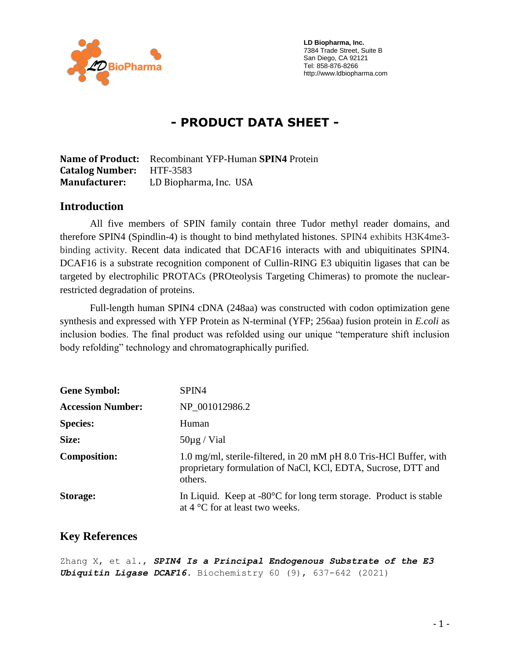

 **LD Biopharma, Inc.** 7384 Trade Street, Suite B San Diego, CA 92121 Tel: 858-876-8266 http://www.ldbiopharma.com

# **- PRODUCT DATA SHEET -**

**Name of Product:** Recombinant YFP-Human **SPIN4** Protein **Catalog Number:** HTF-3583 **Manufacturer:** LD Biopharma, Inc. USA

#### **Introduction**

All five members of SPIN family contain three Tudor methyl reader domains, and therefore SPIN4 (Spindlin-4) is thought to bind methylated histones. SPIN4 exhibits H3K4me3 binding activity. Recent data indicated that DCAF16 interacts with and ubiquitinates SPIN4. DCAF16 is a substrate recognition component of Cullin-RING E3 ubiquitin ligases that can be targeted by electrophilic PROTACs (PROteolysis Targeting Chimeras) to promote the nuclearrestricted degradation of proteins.

Full-length human SPIN4 cDNA (248aa) was constructed with codon optimization gene synthesis and expressed with YFP Protein as N-terminal (YFP; 256aa) fusion protein in *E.coli* as inclusion bodies. The final product was refolded using our unique "temperature shift inclusion body refolding" technology and chromatographically purified.

| <b>Gene Symbol:</b>      | SPIN4                                                                                                                                         |
|--------------------------|-----------------------------------------------------------------------------------------------------------------------------------------------|
| <b>Accession Number:</b> | NP 001012986.2                                                                                                                                |
| <b>Species:</b>          | Human                                                                                                                                         |
| Size:                    | $50\mu$ g / Vial                                                                                                                              |
| <b>Composition:</b>      | 1.0 mg/ml, sterile-filtered, in 20 mM pH 8.0 Tris-HCl Buffer, with<br>proprietary formulation of NaCl, KCl, EDTA, Sucrose, DTT and<br>others. |
| Storage:                 | In Liquid. Keep at $-80^{\circ}$ C for long term storage. Product is stable<br>at $4^{\circ}$ C for at least two weeks.                       |

#### **Key References**

Zhang X, et al., *SPIN4 Is a Principal Endogenous Substrate of the E3 Ubiquitin Ligase DCAF16.* Biochemistry 60 (9), 637-642 (2021)